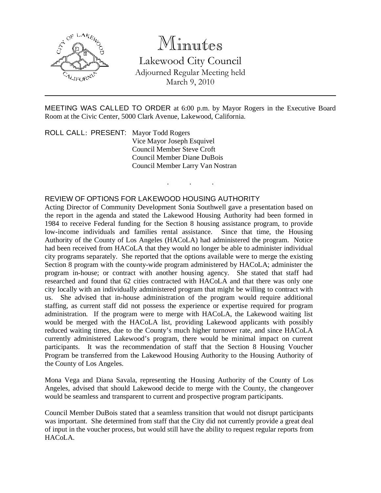

# Minutes

Lakewood City Council Adjourned Regular Meeting held March 9, 2010

MEETING WAS CALLED TO ORDER at 6:00 p.m. by Mayor Rogers in the Executive Board Room at the Civic Center, 5000 Clark Avenue, Lakewood, California.

. . .

ROLL CALL: PRESENT: Mayor Todd Rogers Vice Mayor Joseph Esquivel Council Member Steve Croft Council Member Diane DuBois Council Member Larry Van Nostran

## REVIEW OF OPTIONS FOR LAKEWOOD HOUSING AUTHORITY

Acting Director of Community Development Sonia Southwell gave a presentation based on the report in the agenda and stated the Lakewood Housing Authority had been formed in 1984 to receive Federal funding for the Section 8 housing assistance program, to provide low-income individuals and families rental assistance. Since that time, the Housing Authority of the County of Los Angeles (HACoLA) had administered the program. Notice had been received from HACoLA that they would no longer be able to administer individual city programs separately. She reported that the options available were to merge the existing Section 8 program with the county-wide program administered by HACoLA; administer the program in-house; or contract with another housing agency. She stated that staff had researched and found that 62 cities contracted with HACoLA and that there was only one city locally with an individually administered program that might be willing to contract with us. She advised that in-house administration of the program would require additional staffing, as current staff did not possess the experience or expertise required for program administration. If the program were to merge with HACoLA, the Lakewood waiting list would be merged with the HACoLA list, providing Lakewood applicants with possibly reduced waiting times, due to the County's much higher turnover rate, and since HACoLA currently administered Lakewood's program, there would be minimal impact on current participants. It was the recommendation of staff that the Section 8 Housing Voucher Program be transferred from the Lakewood Housing Authority to the Housing Authority of the County of Los Angeles.

Mona Vega and Diana Savala, representing the Housing Authority of the County of Los Angeles, advised that should Lakewood decide to merge with the County, the changeover would be seamless and transparent to current and prospective program participants.

Council Member DuBois stated that a seamless transition that would not disrupt participants was important. She determined from staff that the City did not currently provide a great deal of input in the voucher process, but would still have the ability to request regular reports from HACoLA.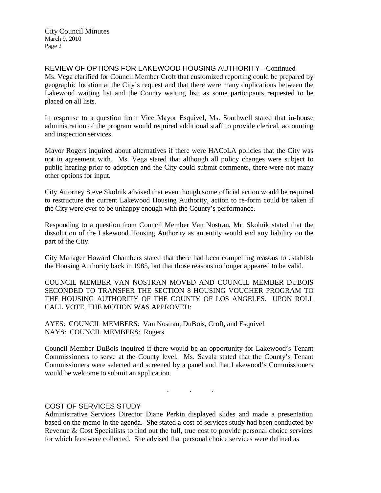City Council Minutes March 9, 2010 Page 2

REVIEW OF OPTIONS FOR LAKEWOOD HOUSING AUTHORITY - Continued Ms. Vega clarified for Council Member Croft that customized reporting could be prepared by geographic location at the City's request and that there were many duplications between the Lakewood waiting list and the County waiting list, as some participants requested to be placed on all lists.

In response to a question from Vice Mayor Esquivel, Ms. Southwell stated that in-house administration of the program would required additional staff to provide clerical, accounting and inspection services.

Mayor Rogers inquired about alternatives if there were HACoLA policies that the City was not in agreement with. Ms. Vega stated that although all policy changes were subject to public hearing prior to adoption and the City could submit comments, there were not many other options for input.

City Attorney Steve Skolnik advised that even though some official action would be required to restructure the current Lakewood Housing Authority, action to re-form could be taken if the City were ever to be unhappy enough with the County's performance.

Responding to a question from Council Member Van Nostran, Mr. Skolnik stated that the dissolution of the Lakewood Housing Authority as an entity would end any liability on the part of the City.

City Manager Howard Chambers stated that there had been compelling reasons to establish the Housing Authority back in 1985, but that those reasons no longer appeared to be valid.

COUNCIL MEMBER VAN NOSTRAN MOVED AND COUNCIL MEMBER DUBOIS SECONDED TO TRANSFER THE SECTION 8 HOUSING VOUCHER PROGRAM TO THE HOUSING AUTHORITY OF THE COUNTY OF LOS ANGELES. UPON ROLL CALL VOTE, THE MOTION WAS APPROVED:

AYES: COUNCIL MEMBERS: Van Nostran, DuBois, Croft, and Esquivel NAYS: COUNCIL MEMBERS: Rogers

Council Member DuBois inquired if there would be an opportunity for Lakewood's Tenant Commissioners to serve at the County level. Ms. Savala stated that the County's Tenant Commissioners were selected and screened by a panel and that Lakewood's Commissioners would be welcome to submit an application.

. . .

#### COST OF SERVICES STUDY

Administrative Services Director Diane Perkin displayed slides and made a presentation based on the memo in the agenda. She stated a cost of services study had been conducted by Revenue & Cost Specialists to find out the full, true cost to provide personal choice services for which fees were collected. She advised that personal choice services were defined as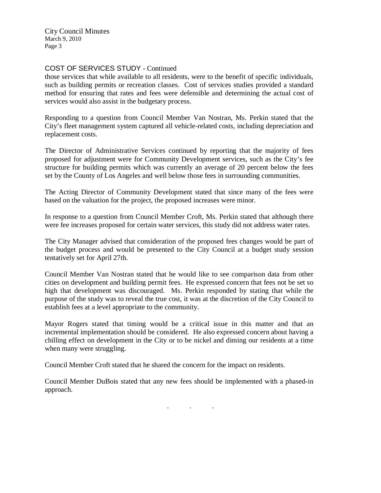City Council Minutes March 9, 2010 Page 3

# COST OF SERVICES STUDY - Continued

those services that while available to all residents, were to the benefit of specific individuals, such as building permits or recreation classes. Cost of services studies provided a standard method for ensuring that rates and fees were defensible and determining the actual cost of services would also assist in the budgetary process.

Responding to a question from Council Member Van Nostran, Ms. Perkin stated that the City's fleet management system captured all vehicle-related costs, including depreciation and replacement costs.

The Director of Administrative Services continued by reporting that the majority of fees proposed for adjustment were for Community Development services, such as the City's fee structure for building permits which was currently an average of 20 percent below the fees set by the County of Los Angeles and well below those fees in surrounding communities.

The Acting Director of Community Development stated that since many of the fees were based on the valuation for the project, the proposed increases were minor.

In response to a question from Council Member Croft, Ms. Perkin stated that although there were fee increases proposed for certain water services, this study did not address water rates.

The City Manager advised that consideration of the proposed fees changes would be part of the budget process and would be presented to the City Council at a budget study session tentatively set for April 27th.

Council Member Van Nostran stated that he would like to see comparison data from other cities on development and building permit fees. He expressed concern that fees not be set so high that development was discouraged. Ms. Perkin responded by stating that while the purpose of the study was to reveal the true cost, it was at the discretion of the City Council to establish fees at a level appropriate to the community.

Mayor Rogers stated that timing would be a critical issue in this matter and that an incremental implementation should be considered. He also expressed concern about having a chilling effect on development in the City or to be nickel and diming our residents at a time when many were struggling.

Council Member Croft stated that he shared the concern for the impact on residents.

Council Member DuBois stated that any new fees should be implemented with a phased-in approach.

. . .